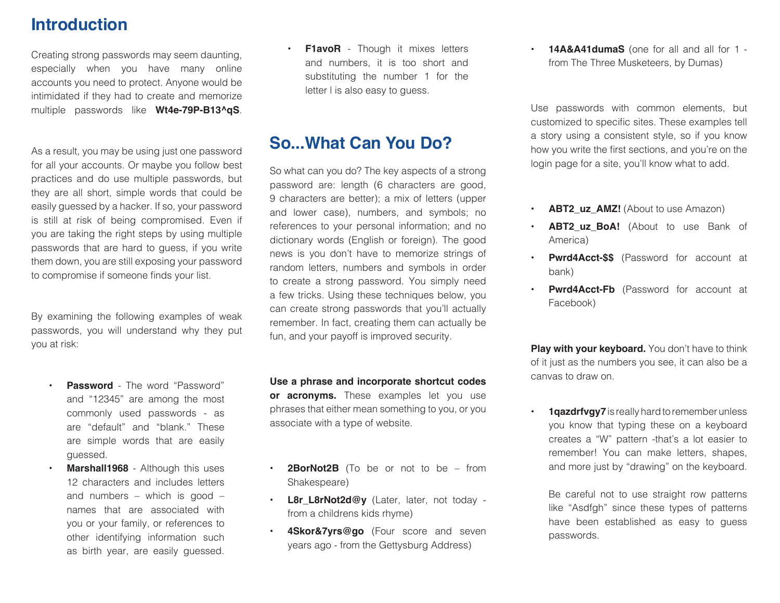#### **Introduction**

Creating strong passwords may seem daunting, especially when you have many online accounts you need to protect. Anyone would be intimidated if they had to create and memorize multiple passwords like **Wt4e-79P-B13^qS**.

As a result, you may be using just one password for all your accounts. Or maybe you follow best practices and do use multiple passwords, but they are all short, simple words that could be easily guessed by a hacker. If so, your password is still at risk of being compromised. Even if you are taking the right steps by using multiple passwords that are hard to guess, if you write them down, you are still exposing your password to compromise if someone finds your list.

By examining the following examples of weak passwords, you will understand why they put you at risk:

- **Password** The word "Password" and "12345" are among the most commonly used passwords - as are "default" and "blank." These are simple words that are easily guessed.
- **Marshall1968** Although this uses 12 characters and includes letters and numbers – which is good – names that are associated with you or your family, or references to other identifying information such as birth year, are easily guessed.

**F1avoR** - Though it mixes letters and numbers, it is too short and substituting the number 1 for the letter l is also easy to guess.

#### **So...What Can You Do?**

So what can you do? The key aspects of a strong password are: length (6 characters are good, 9 characters are better); a mix of letters (upper and lower case), numbers, and symbols; no references to your personal information; and no dictionary words (English or foreign). The good news is you don't have to memorize strings of random letters, numbers and symbols in order to create a strong password. You simply need a few tricks. Using these techniques below, you can create strong passwords that you'll actually remember. In fact, creating them can actually be fun, and your payoff is improved security.

**Use a phrase and incorporate shortcut codes or acronyms.** These examples let you use phrases that either mean something to you, or you associate with a type of website.

- **2BorNot2B** (To be or not to be from Shakespeare)
- L8r\_L8rNot2d@y (Later, later, not today from a childrens kids rhyme)
- **4Skor&7yrs@go** (Four score and seven years ago - from the Gettysburg Address)

**• 14A&A41dumaS** (one for all and all for 1 from The Three Musketeers, by Dumas)

Use passwords with common elements, but customized to specific sites. These examples tell a story using a consistent style, so if you know how you write the first sections, and you're on the login page for a site, you'll know what to add.

- **ABT2 uz AMZ!** (About to use Amazon)
- **ABT2 uz BoA!** (About to use Bank of America)
- **Pwrd4Acct-\$\$** (Password for account at bank)
- **Pwrd4Acct-Fb** (Password for account at Facebook)

**Play with your keyboard.** You don't have to think of it just as the numbers you see, it can also be a canvas to draw on.

**1qazdrfvgy7** is really hard to remember unless you know that typing these on a keyboard creates a "W" pattern -that's a lot easier to remember! You can make letters, shapes, and more just by "drawing" on the keyboard.

Be careful not to use straight row patterns like "Asdfgh" since these types of patterns have been established as easy to guess passwords.